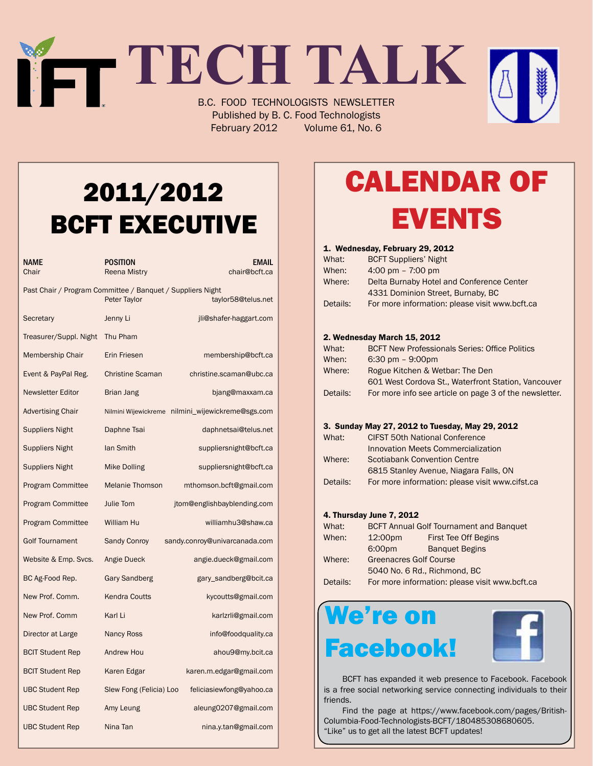# **TECH TALK** B.C. FOOD TECHNOLOGISTS NEWSLETTER

Published by B. C. Food Technologists February 2012 Volume 61, No. 6

## 2011/2012 BCFT EXECUTIVE

| NAME<br>Chair                                              | POSITION<br><b>Reena Mistry</b> | <b>EMAIL</b><br>chair@bcft.ca |
|------------------------------------------------------------|---------------------------------|-------------------------------|
| Past Chair / Program Committee / Banquet / Suppliers Night | Peter Taylor                    | taylor58@telus.net            |
| Secretary                                                  | Jenny Li                        | jli@shafer-haggart.com        |
| Treasurer/Suppl. Night                                     | Thu Pham                        |                               |
| Membership Chair                                           | Erin Friesen                    | membership@bcft.ca            |
| Event & PayPal Reg.                                        | <b>Christine Scaman</b>         | christine.scaman@ubc.ca       |
| <b>Newsletter Editor</b>                                   | Brian Jang                      | bjang@maxxam.ca               |
| <b>Advertising Chair</b>                                   | Nilmini Wijewickreme            | nilmini_wijewickreme@sgs.com  |
| <b>Suppliers Night</b>                                     | Daphne Tsai                     | daphnetsai@telus.net          |
| <b>Suppliers Night</b>                                     | lan Smith                       | suppliersnight@bcft.ca        |
| Suppliers Night                                            | Mike Dolling                    | suppliersnight@bcft.ca        |
| <b>Program Committee</b>                                   | <b>Melanie Thomson</b>          | mthomson.bcft@gmail.com       |
| <b>Program Committee</b>                                   | Julie Tom                       | jtom@englishbayblending.com   |
| <b>Program Committee</b>                                   | William Hu                      | williamhu3@shaw.ca            |
| <b>Golf Tournament</b>                                     | <b>Sandy Conroy</b>             | sandy.conroy@univarcanada.com |
| Website & Emp. Svcs.                                       | Angie Dueck                     | angie.dueck@gmail.com         |
| BC Ag-Food Rep.                                            | Gary Sandberg                   | gary_sandberg@bcit.ca         |
| New Prof. Comm.                                            | <b>Kendra Coutts</b>            | kycoutts@gmail.com            |
| New Prof. Comm                                             | Karl Li                         | karlzrli@gmail.com            |
| Director at Large                                          | <b>Nancy Ross</b>               | info@foodquality.ca           |
| <b>BCIT Student Rep</b>                                    | Andrew Hou                      | ahou9@my.bcit.ca              |
| <b>BCIT Student Rep</b>                                    | Karen Edgar                     | karen.m.edgar@gmail.com       |
| <b>UBC Student Rep</b>                                     | Slew Fong (Felicia) Loo         | feliciasiewfong@yahoo.ca      |
| <b>UBC Student Rep</b>                                     | Amy Leung                       | aleung0207@gmail.com          |
| <b>UBC Student Rep</b>                                     | Nina Tan                        | nina.y.tan@gmail.com          |

# Calendar Of **EVENTS**

#### 1. Wednesday, February 29, 2012

| What:    | <b>BCFT Suppliers' Night</b>                   |
|----------|------------------------------------------------|
| When:    | 4:00 pm $-7:00$ pm                             |
| Where:   | Delta Burnaby Hotel and Conference Center      |
|          | 4331 Dominion Street, Burnaby, BC              |
| Details: | For more information: please visit www.bcft.ca |

#### 2. Wednesday March 15, 2012

| What:    | <b>BCFT New Professionals Series: Office Politics</b>  |
|----------|--------------------------------------------------------|
| When:    | $6:30 \text{ pm} - 9:00 \text{pm}$                     |
| Where:   | Rogue Kitchen & Wetbar: The Den                        |
|          | 601 West Cordova St., Waterfront Station, Vancouver    |
| Details: | For more info see article on page 3 of the newsletter. |

#### 3. Sunday May 27, 2012 to Tuesday, May 29, 2012

| What:    | <b>CIFST 50th National Conference</b>           |
|----------|-------------------------------------------------|
|          | Innovation Meets Commercialization              |
| Where:   | <b>Scotiabank Convention Centre</b>             |
|          | 6815 Stanley Avenue, Niagara Falls, ON          |
| Details: | For more information: please visit www.cifst.ca |

#### 4. Thursday June 7, 2012

|                               | <b>BCFT Annual Golf Tournament and Banquet</b> |  |
|-------------------------------|------------------------------------------------|--|
| 12:00pm                       | First Tee Off Begins                           |  |
| 6:00pm                        | <b>Banquet Begins</b>                          |  |
| <b>Greenacres Golf Course</b> |                                                |  |
| 5040 No. 6 Rd., Richmond, BC  |                                                |  |
|                               | For more information: please visit www.bcft.ca |  |
|                               |                                                |  |

## We're on Facebook!



 BCFT has expanded it web presence to Facebook. Facebook is a free social networking service connecting individuals to their friends.

 Find the page at https://www.facebook.com/pages/British-Columbia-Food-Technologists-BCFT/180485308680605. "Like" us to get all the latest BCFT updates!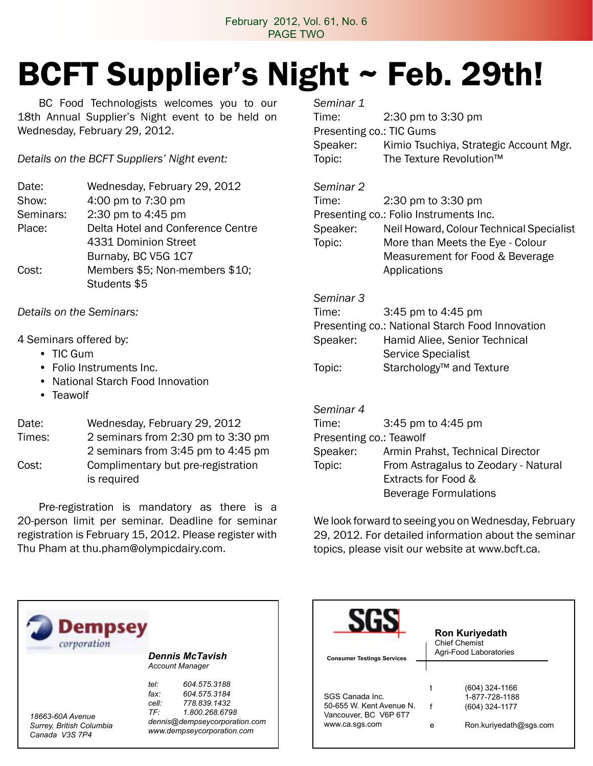### February 2012, Vol. 61, No. 6 PAGE TWO

# BCFT Supplier's Night ~ Feb. 29th!

 BC Food Technologists welcomes you to our 18th Annual Supplier's Night event to be held on Wednesday, February 29, 2012.

*Details on the BCFT Suppliers' Night event:*

| Date:     | Wednesday, February 29, 2012      |
|-----------|-----------------------------------|
| Show:     | 4:00 pm to 7:30 pm                |
| Seminars: | 2:30 pm to 4:45 pm                |
| Place:    | Delta Hotel and Conference Centre |
|           | 4331 Dominion Street              |
|           | Burnaby, BC V5G 1C7               |
| Cost:     | Members \$5; Non-members \$10;    |
|           | Students \$5                      |

*Details on the Seminars:*

### 4 Seminars offered by:

- TIC Gum
- Folio Instruments Inc.
- National Starch Food Innovation
- Teawolf

### Date: Wednesday, February 29, 2012 Times: 2 seminars from 2:30 pm to 3:30 pm 2 seminars from 3:45 pm to 4:45 pm Cost: Complimentary but pre-registration is required

 Pre-registration is mandatory as there is a 20-person limit per seminar. Deadline for seminar registration is February 15, 2012. Please register with Thu Pham at thu.pham@olympicdairy.com.

*Seminar 1*  Time: 2:30 pm to 3:30 pm Presenting co.: TIC Gums Speaker: Kimio Tsuchiya, Strategic Account Mgr. Topic: The Texture Revolution™

### *Seminar 2*

| Time:    | 2:30 pm to 3:30 pm                       |
|----------|------------------------------------------|
|          | Presenting co.: Folio Instruments Inc.   |
| Speaker: | Neil Howard, Colour Technical Specialist |
| Topic:   | More than Meets the Eye - Colour         |
|          | Measurement for Food & Beverage          |
|          | Applications                             |

### *Seminar 3*

| Time:                                           | 3:45 pm to 4:45 pm                   |  |
|-------------------------------------------------|--------------------------------------|--|
| Presenting co.: National Starch Food Innovation |                                      |  |
| Speaker:                                        | Hamid Aliee, Senior Technical        |  |
|                                                 | <b>Service Specialist</b>            |  |
| Topic:                                          | Starchology <sup>™</sup> and Texture |  |

### *Seminar 4*

| 3:45 pm to 4:45 pm                   |
|--------------------------------------|
| Presenting co.: Teawolf              |
| Armin Prahst, Technical Director     |
| From Astragalus to Zeodary - Natural |
| Extracts for Food &                  |
| <b>Beverage Formulations</b>         |
|                                      |

We look forward to seeing you on Wednesday, February 29, 2012. For detailed information about the seminar topics, please visit our website at www.bcft.ca.



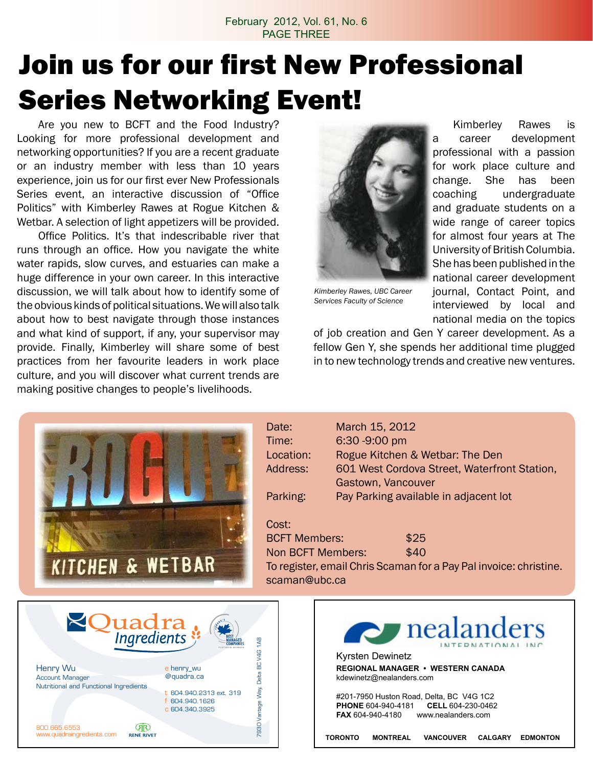### February 2012, Vol. 61, No. 6 PAGE THREE

# Join us for our first New Professional Series Networking Event!

**Date** 

Are you new to BCFT and the Food Industry? Looking for more professional development and networking opportunities? If you are a recent graduate or an industry member with less than 10 years experience, join us for our first ever New Professionals Series event, an interactive discussion of "Office Politics" with Kimberley Rawes at Rogue Kitchen & Wetbar. A selection of light appetizers will be provided.

 Office Politics. It's that indescribable river that runs through an office. How you navigate the white water rapids, slow curves, and estuaries can make a huge difference in your own career. In this interactive discussion, we will talk about how to identify some of the obvious kinds of political situations.Wewill also talk about how to best navigate through those instances and what kind of support, if any, your supervisor may provide. Finally, Kimberley will share some of best practices from her favourite leaders in work place culture, and you will discover what current trends are making positive changes to people's livelihoods.



*Kimberley Rawes, UBC Career Services Faculty of Science*

 Kimberley Rawes is a career development professional with a passion for work place culture and change. She has been coaching undergraduate and graduate students on a wide range of career topics for almost four years at The University of British Columbia. She has been published in the national career development journal, Contact Point, and interviewed by local and national media on the topics

of job creation and Gen Y career development. As a fellow Gen Y, she spends her additional time plugged in to new technology trends and creative new ventures.



| Date:     | March 15, 2012                               |
|-----------|----------------------------------------------|
| Time:     | 6:30 -9:00 pm                                |
| Location: | Rogue Kitchen & Wetbar: The Den              |
| Address:  | 601 West Cordova Street, Waterfront Station, |
|           | Gastown, Vancouver                           |
| Parking:  | Pay Parking available in adjacent lot        |

Cost: BCFT Members:  $$25$ Non BCFT Members: \$40 To register, email Chris Scaman for a Pay Pal invoice: christine. scaman@ubc.ca

| uadra<br>Ingredients                                                         |                                                                |  |
|------------------------------------------------------------------------------|----------------------------------------------------------------|--|
| Henry Wu<br><b>Account Manager</b><br>Nutritional and Functional Ingredients | 7930 Vantage Way, Delta BC V4G 1A8<br>e henry_wu<br>@quadra.ca |  |
|                                                                              | t 604.940.2313 ext. 319<br>f 604.940.1626<br>c 604.340.3925    |  |
| 800.665.6553<br>www.guadraingredients.com<br><b>RENË RIVET</b>               |                                                                |  |

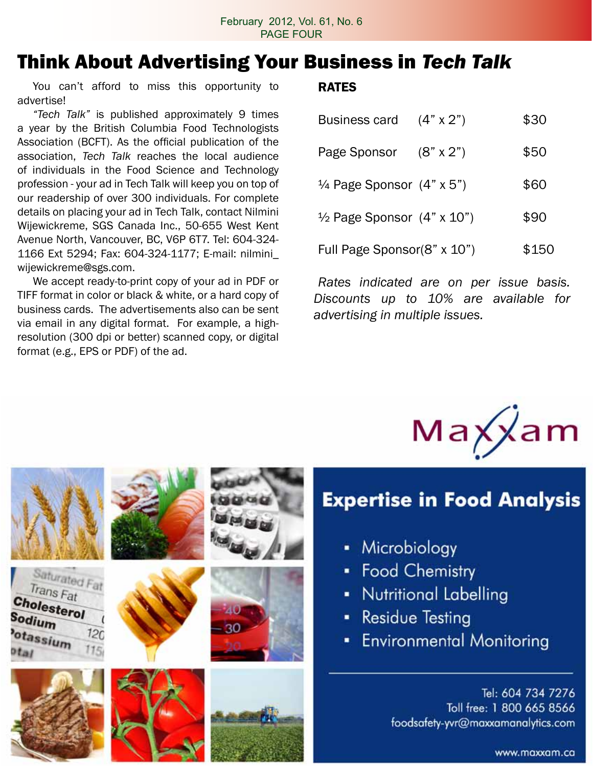## Think About Advertising Your Business in *Tech Talk*

You can't afford to miss this opportunity to advertise!

*"Tech Talk"* is published approximately 9 times a year by the British Columbia Food Technologists Association (BCFT). As the official publication of the association, *Tech Talk* reaches the local audience of individuals in the Food Science and Technology profession - your ad in Tech Talk will keep you on top of our readership of over 300 individuals. For complete details on placing your ad in Tech Talk, contact Nilmini Wijewickreme, SGS Canada Inc., 50-655 West Kent Avenue North, Vancouver, BC, V6P 6T7. Tel: 604-324- 1166 Ext 5294; Fax: 604-324-1177; E-mail: nilmini\_ wijewickreme@sgs.com.

 We accept ready-to-print copy of your ad in PDF or TIFF format in color or black & white, or a hard copy of business cards. The advertisements also can be sent via email in any digital format. For example, a highresolution (300 dpi or better) scanned copy, or digital format (e.g., EPS or PDF) of the ad.

### RATES

| <b>Business card</b>                         | $(4" \times 2")$ | \$30  |
|----------------------------------------------|------------------|-------|
| Page Sponsor (8" x 2")                       |                  | \$50  |
| $\frac{1}{4}$ Page Sponsor $(4" \times 5")$  |                  | \$60  |
| $\frac{1}{2}$ Page Sponsor $(4" \times 10")$ |                  | \$90  |
| Full Page Sponsor(8" x 10")                  |                  | \$150 |

*Rates indicated are on per issue basis. Discounts up to 10% are available for advertising in multiple issues.*



### **Expertise in Food Analysis**

- Microbiology
- Food Chemistry
- Nutritional Labelling
- **Residue Testing**
- **Environmental Monitoring**

Tel: 604 734 7276 Toll free: 1 800 665 8566 foodsafety-yvr@maxxamanalytics.com

www.maxxam.ca



Saturated Fat Trans Fat

 $120$ 

Cholesterol

Sodium

otassium









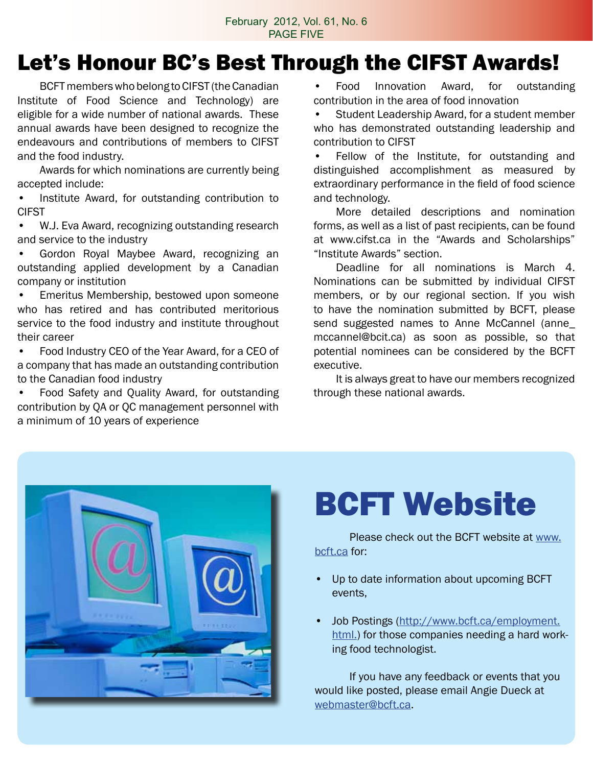## Let's Honour BC's Best Through the CIFST Awards!

BCFT members who belong to CIFST (the Canadian Institute of Food Science and Technology) are eligible for a wide number of national awards. These annual awards have been designed to recognize the endeavours and contributions of members to CIFST and the food industry.

 Awards for which nominations are currently being accepted include:

Institute Award, for outstanding contribution to CIFST

• W.J. Eva Award, recognizing outstanding research and service to the industry

Gordon Royal Maybee Award, recognizing an outstanding applied development by a Canadian company or institution

Emeritus Membership, bestowed upon someone who has retired and has contributed meritorious service to the food industry and institute throughout their career

• Food Industry CEO of the Year Award, for a CEO of a company that has made an outstanding contribution to the Canadian food industry

• Food Safety and Quality Award, for outstanding contribution by QA or QC management personnel with a minimum of 10 years of experience

Food Innovation Award, for outstanding contribution in the area of food innovation

Student Leadership Award, for a student member who has demonstrated outstanding leadership and contribution to CIFST

Fellow of the Institute, for outstanding and distinguished accomplishment as measured by extraordinary performance in the field of food science and technology.

 More detailed descriptions and nomination forms, as well as a list of past recipients, can be found at www.cifst.ca in the "Awards and Scholarships" "Institute Awards" section.

 Deadline for all nominations is March 4. Nominations can be submitted by individual CIFST members, or by our regional section. If you wish to have the nomination submitted by BCFT, please send suggested names to Anne McCannel (anne\_ mccannel@bcit.ca) as soon as possible, so that potential nominees can be considered by the BCFT executive.

 It is always great to have our members recognized through these national awards.



# BCFT Website

Please check out the BCFT website at www. bcft.ca for:

- Up to date information about upcoming BCFT events,
- Job Postings (http://www.bcft.ca/employment. html.) for those companies needing a hard working food technologist.

 If you have any feedback or events that you would like posted, please email Angie Dueck at webmaster@bcft.ca.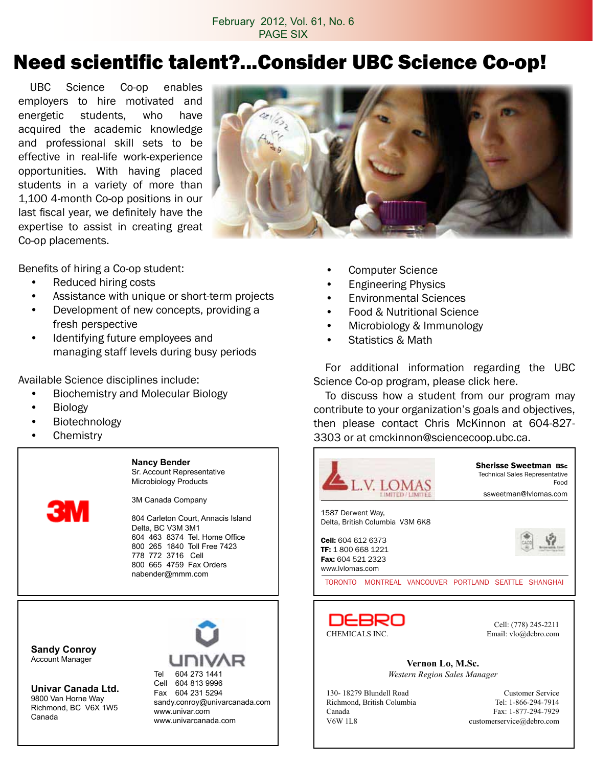## Need scientific talent?...Consider UBC Science Co-op!

 UBC Science Co-op enables employers to hire motivated and energetic students, who have acquired the academic knowledge and professional skill sets to be effective in real-life work-experience opportunities. With having placed students in a variety of more than 1,100 4-month Co-op positions in our last fiscal year, we definitely have the expertise to assist in creating great Co-op placements.



Benefits of hiring a Co-op student:

- • Reduced hiring costs
- Assistance with unique or short-term projects
- Development of new concepts, providing a fresh perspective
- • Identifying future employees and managing staff levels during busy periods

Available Science disciplines include:

- • Biochemistry and Molecular Biology
- • Biology
- **Biotechnology**
- **Chemistry**

3M

**Nancy Bender** Sr. Account Representative Microbiology Products

3M Canada Company

804 Carleton Court, Annacis Island Delta, BC V3M 3M1 604 463 8374 Tel. Home Office 800 265 1840 Toll Free 7423 778 772 3716 Cell 800 665 4759 Fax Orders nabender@mmm.com

**Sandy Conroy** Account Manager

**Univar Canada Ltd.** 9800 Van Horne Way Richmond, BC V6X 1W5 Canada



- • Computer Science
- **Engineering Physics**
- **Environmental Sciences**
- • Food & Nutritional Science
- Microbiology & Immunology
- **Statistics & Math**

 For additional information regarding the UBC Science Co-op program, please click here.

 To discuss how a student from our program may contribute to your organization's goals and objectives, then please contact Chris McKinnon at 604-827- 3303 or at cmckinnon@sciencecoop.ubc.ca.





Cell: (778) 245-2211

**Vernon Lo, M.Sc.** *Western Region Sales Manager*

130- 18279 Blundell Road Customer Service Richmond, British Columbia Tel: 1-866-294-7914 Canada Fax: 1-877-294-7929<br>V6W 1L8 customerservice@debro.com

customerservice@debro.com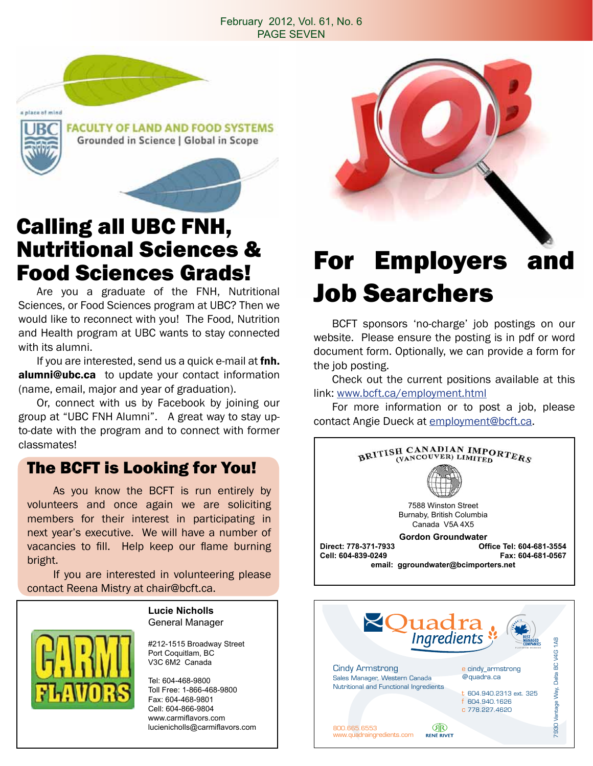### February 2012, Vol. 61, No. 6 PAGE SEVEN



# Calling all UBC FNH, Nutritional Sciences &

 Are you a graduate of the FNH, Nutritional Sciences, or Food Sciences program at UBC? Then we would like to reconnect with you! The Food, Nutrition and Health program at UBC wants to stay connected with its alumni.

If you are interested, send us a quick e-mail at fnh. alumni@ubc.ca to update your contact information (name, email, major and year of graduation).

 Or, connect with us by Facebook by joining our group at "UBC FNH Alumni". A great way to stay upto-date with the program and to connect with former classmates!

### The BCFT is Looking for You!

 As you know the BCFT is run entirely by volunteers and once again we are soliciting members for their interest in participating in next year's executive. We will have a number of vacancies to fill. Help keep our flame burning bright.

 If you are interested in volunteering please contact Reena Mistry at chair@bcft.ca.

> **Lucie Nicholls** General Manager

#### #212-1515 Broadway Street Port Coquitlam, BC V3C 6M2 Canada

Tel: 604-468-9800 Toll Free: 1-866-468-9800 Fax: 604-468-9801 Cell: 604-866-9804 www.carmiflavors.com lucienicholls@carmiflavors.com

## Food Sciences Grads! For Employers and Job Searchers

 BCFT sponsors 'no-charge' job postings on our website. Please ensure the posting is in pdf or word document form. Optionally, we can provide a form for the job posting.

 Check out the current positions available at this link: www.bcft.ca/employment.html

 For more information or to post a job, please contact Angie Dueck at employment@bcft.ca.